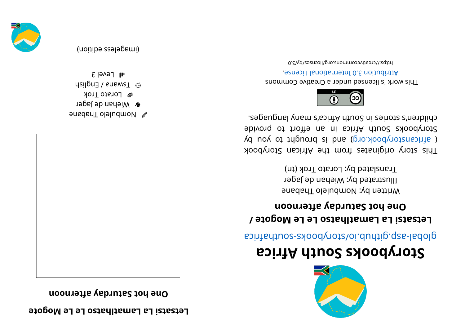## **etable** Lamatihatso Le Le Mogote

**noonretf <sup>a</sup> yadr ut aS <sup>t</sup> oh enO**



- w Mombule Dapane
- **&** Wiehan de Jager
- *●* Lorato Trok
- dsilgn $\exists$  / snawsT  $\Im$
- $5$ ləvəl Jır

(imageless eqition)





## **storybooks South Africa**

aci ri re abological anti-

## **/ et ogo MeL eL ost ahl <sup>t</sup> <sup>a</sup> maL aLi st ast eL noonretf <sup>a</sup> yadr ut aS <sup>t</sup> oh enO**

Written by: Nombulelo Thabane Illustrated by: Wiehan de Jager Translated by: Lorato Trok (tn)

kood yoof a siginaar ah uri setenigiyo yoot sidT ( africanstorybook.org) and is brought to you by Storybooks South Africa in an effort to provide children's sinors in South Africe's near in the posts.



This work is licensed under a Creative Commons . esnecial lanoit anternational License.

0. E\vd\zesrivecommons.org/licenses/by/3.0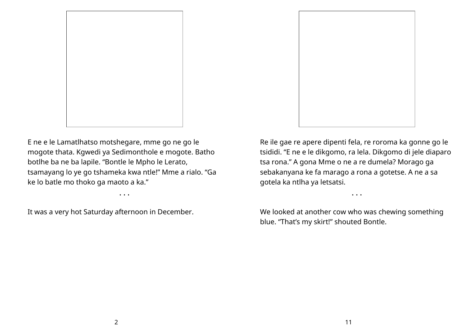



E ne e le Lamatlhatso motshegare, mme go ne go le mogote thata. Kgwedi ya Sedimonthole e mogote. Batho botlhe ba ne ba lapile. "Bontle le Mpho le Lerato, tsamayang lo ye go tshameka kwa ntle!" Mme a rialo. "Ga ke lo batle mo thoko ga maoto a ka."

• • •

It was a very hot Saturday afternoon in December.

Re ile gae re apere dipenti fela, re roroma ka gonne go le tsididi. "E ne e le dikgomo, ra lela. Dikgomo di jele diaparo tsa rona." A gona Mme o ne a re dumela? Morago ga sebakanyana ke fa marago a rona a gotetse. A ne a sa gotela ka ntlha ya letsatsi.

• • •

We looked at another cow who was chewing something blue. "That's my skirt!" shouted Bontle.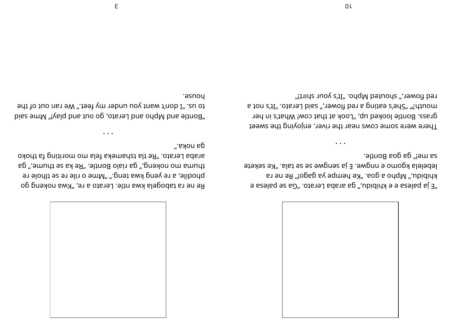

sa mei" ga goa Bontle. lebelela kgomo e nngwe. E ja sengwe se se tala. "Ke sekete khibidu," Mpho a goa. "Ke hempe ya gago!" Re ne ra "e seled as an "offere" ga araba Lerato. "Ga se palega e

red flower," shouted Mpho. "It's your shirt!" mouth?" "She's eating a red flower," said Lerato. "It's not a grass. Bontle looked up, "Look at that cow! What's in her There were some cows near the river, enjoying the sweet

".вяоп вр oxodt st gnitinom om slet skemsnat slt eR". ots te thoko thuma mo nokeng," gain Bontle. "Re ka se thume," ga phodile, a re yeng kwa teng." ".pne o rile re se tlhole re Re ne ra tabogela kwa ntle. Lerato a re, "Kwa nokeng go

house. to us. "I don't want you under my feet." We ran out of the "bis emm "iveld bns to op , others blay" Mme said

 $\epsilon$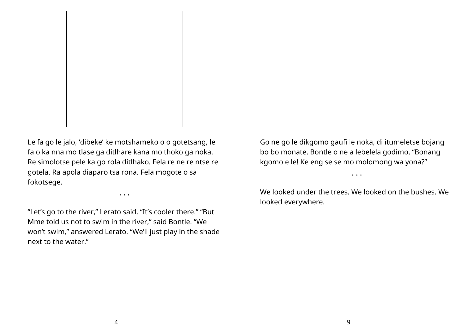

Le fa go le jalo, 'dibeke' ke motshameko o o gotetsang, le fa o ka nna mo tlase ga ditlhare kana mo thoko ga noka. Re simolotse pele ka go rola ditlhako. Fela re ne re ntse re gotela. Ra apola diaparo tsa rona. Fela mogote o sa fokotsege.

• • •

"Let's go to the river," Lerato said. "It's cooler there." "But Mme told us not to swim in the river," said Bontle. "We won't swim," answered Lerato. "We'll just play in the shade next to the water."



Go ne go le dikgomo gaufi le noka, di itumeletse bojang bo bo monate. Bontle o ne a lebelela godimo, "Bonang kgomo e le! Ke eng se se mo molomong wa yona?"

We looked under the trees. We looked on the bushes. We looked everywhere.

• • •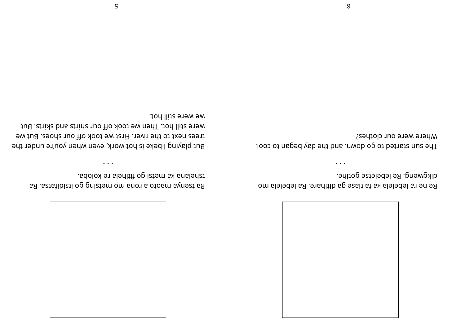

dikgweng. Re lebeletse gotlhe. Re ne ra lebelela ka fa tlase ga ditlhare. Ra lebelela mo

 $\bullet\hspace{0.4mm}\bullet\hspace{0.4mm}\bullet\hspace{0.4mm}\bullet$ 

Where were our clothes? The sun started to go down, and the day began to cool.

tshelana ka metsi go fitlhela re koloba. BA . Estatibizti og pniztem om snot s otosm synest sa

were still hot. Then we took off our shirts and skirts. But trees next to the river. First we took off our shoes. But we But playing libeke is hot work, even when you're under the

 $\bullet$   $\bullet$   $\bullet$ 

we were still hot.